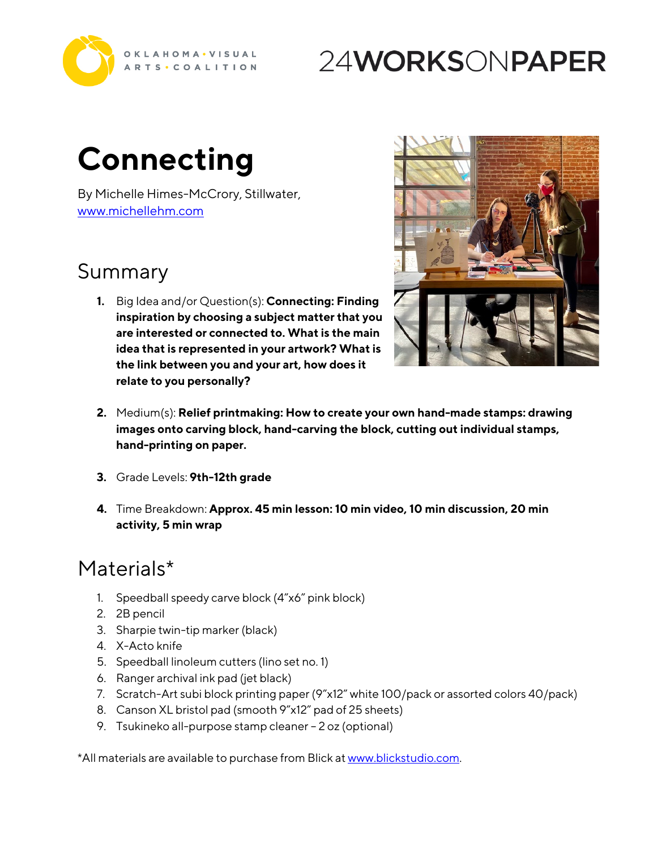

## 24WORKSONPAPER

# **Connecting**

By Michelle Himes-McCrory, Stillwater, <www.michellehm.com>

#### Summary

**1.** Big Idea and/or Question(s): **Connecting: Finding inspiration by choosing a subject matter that you are interested or connected to. What is the main idea that is represented in your artwork? What is the link between you and your art, how does it relate to you personally?**



- **2.** Medium(s): **Relief printmaking: How to create your own hand-made stamps: drawing images onto carving block, hand-carving the block, cutting out individual stamps, hand-printing on paper.**
- **3.** Grade Levels: **9th-12th grade**
- **4.** Time Breakdown: **Approx. 45 min lesson: 10 min video, 10 min discussion, 20 min activity, 5 min wrap**

#### Materials\*

- 1. Speedball speedy carve block (4"x6" pink block)
- 2. 2B pencil
- 3. Sharpie twin-tip marker (black)
- 4. X-Acto knife
- 5. Speedball linoleum cutters (lino set no. 1)
- 6. Ranger archival ink pad (jet black)
- 7. Scratch-Art subi block printing paper (9"x12" white 100/pack or assorted colors 40/pack)
- 8. Canson XL bristol pad (smooth 9"x12" pad of 25 sheets)
- 9. Tsukineko all-purpose stamp cleaner 2 oz (optional)

\*All materials are available to purchase from Blick a[t www.blickstudio.com](www.blickstudio.com).